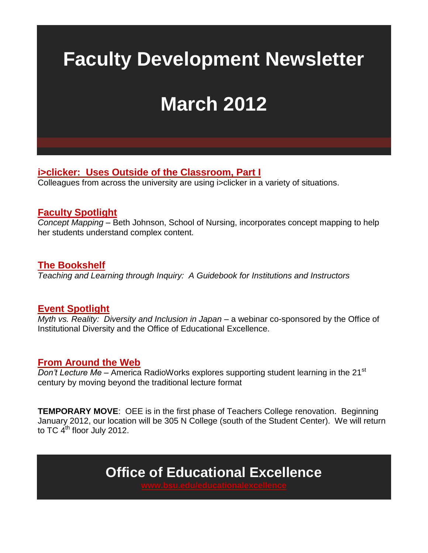# <span id="page-0-0"></span>**Faculty Development Newsletter**

# **March 2012**

**[i>clicker: Uses Outside of the Classroom, Part I](#page-1-0)**

Colleagues from across the university are using i>clicker in a variety of situations.

#### **[Faculty Spotlight](#page-5-0)**

*Concept Mapping* – Beth Johnson, School of Nursing, incorporates concept mapping to help her students understand complex content.

#### **[The Bookshelf](#page-6-0)**

*Teaching and Learning through Inquiry: A Guidebook for Institutions and Instructors*

#### **[Event Spotlight](#page-4-0)**

*Myth vs. Reality: Diversity and Inclusion in Japan* – a webinar co-sponsored by the Office of Institutional Diversity and the Office of Educational Excellence.

#### **[From Around the Web](#page-8-0)**

*Don't Lecture Me* – America RadioWorks explores supporting student learning in the 21<sup>st</sup> century by moving beyond the traditional lecture format

**TEMPORARY MOVE**: OEE is in the first phase of Teachers College renovation. Beginning January 2012, our location will be 305 N College (south of the Student Center). We will return to TC  $4<sup>th</sup>$  floor July 2012.

**Office of Educational Excellence**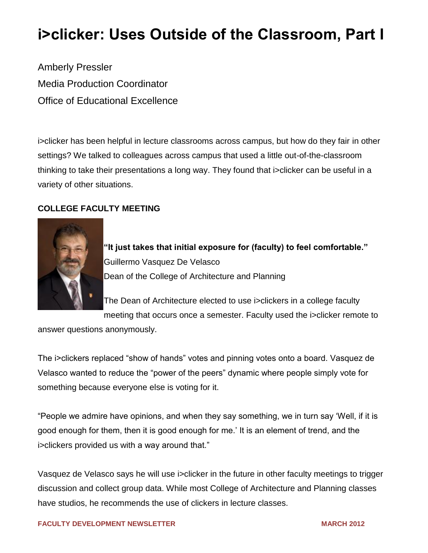## <span id="page-1-0"></span>**i>clicker: Uses Outside of the Classroom, Part I**

Amberly Pressler Media Production Coordinator Office of Educational Excellence

i>clicker has been helpful in lecture classrooms across campus, but how do they fair in other settings? We talked to colleagues across campus that used a little out-of-the-classroom thinking to take their presentations a long way. They found that i>clicker can be useful in a variety of other situations.

#### **COLLEGE FACULTY MEETING**



"It just takes that initial exposure for (faculty) to feel comfortable." Guillermo Vasquez De Velasco Dean of the College of Architecture and Planning

The Dean of Architecture elected to use i>clickers in a college faculty meeting that occurs once a semester. Faculty used the i>clicker remote to

answer questions anonymously.

The i>clickers replaced "show of hands" votes and pinning votes onto a board. Vasquez de Velasco wanted to reduce the "power of the peers" dynamic where people simply vote for something because everyone else is voting for it.

"People we admire have opinions, and when they say something, we in turn say 'Well, if it is good enough for them, then it is good enough for me.' It is an element of trend, and the i>clickers provided us with a way around that."

Vasquez de Velasco says he will use i>clicker in the future in other faculty meetings to trigger discussion and collect group data. While most College of Architecture and Planning classes have studios, he recommends the use of clickers in lecture classes.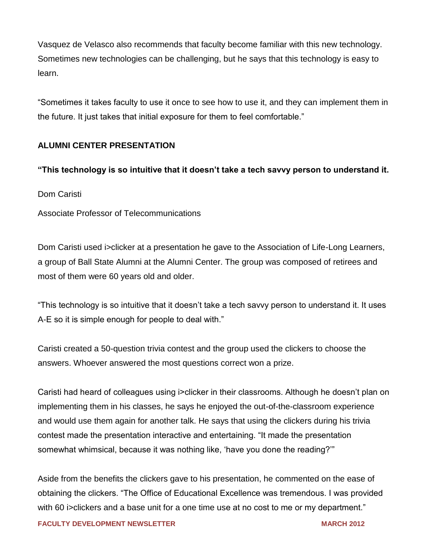Vasquez de Velasco also recommends that faculty become familiar with this new technology. Sometimes new technologies can be challenging, but he says that this technology is easy to learn.

―Sometimes it takes faculty to use it once to see how to use it, and they can implement them in the future. It just takes that initial exposure for them to feel comfortable."

#### **ALUMNI CENTER PRESENTATION**

#### **―This technology is so intuitive that it doesn't take a tech savvy person to understand it.**

Dom Caristi

Associate Professor of Telecommunications

Dom Caristi used i>clicker at a presentation he gave to the Association of Life-Long Learners, a group of Ball State Alumni at the Alumni Center. The group was composed of retirees and most of them were 60 years old and older.

"This technology is so intuitive that it doesn't take a tech savvy person to understand it. It uses A-E so it is simple enough for people to deal with."

Caristi created a 50-question trivia contest and the group used the clickers to choose the answers. Whoever answered the most questions correct won a prize.

Caristi had heard of colleagues using i>clicker in their classrooms. Although he doesn't plan on implementing them in his classes, he says he enjoyed the out-of-the-classroom experience and would use them again for another talk. He says that using the clickers during his trivia contest made the presentation interactive and entertaining. "It made the presentation somewhat whimsical, because it was nothing like, 'have you done the reading?"

Aside from the benefits the clickers gave to his presentation, he commented on the ease of obtaining the clickers. "The Office of Educational Excellence was tremendous. I was provided with 60 i>clickers and a base unit for a one time use at no cost to me or my department."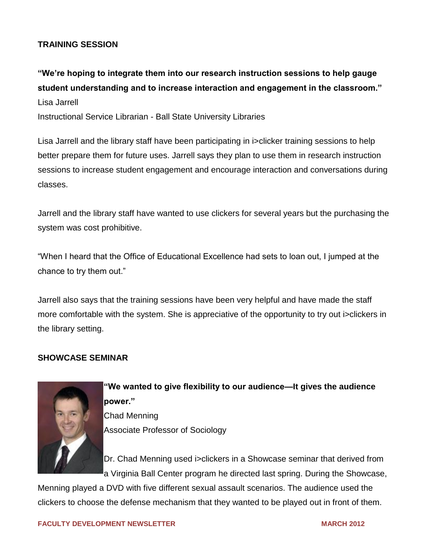#### **TRAINING SESSION**

**―We're hoping to integrate them into our research instruction sessions to help gauge student understanding and to increase interaction and engagement in the classroom.‖**  Lisa Jarrell

Instructional Service Librarian - Ball State University Libraries

Lisa Jarrell and the library staff have been participating in i>clicker training sessions to help better prepare them for future uses. Jarrell says they plan to use them in research instruction sessions to increase student engagement and encourage interaction and conversations during classes.

Jarrell and the library staff have wanted to use clickers for several years but the purchasing the system was cost prohibitive.

―When I heard that the Office of Educational Excellence had sets to loan out, I jumped at the chance to try them out."

Jarrell also says that the training sessions have been very helpful and have made the staff more comfortable with the system. She is appreciative of the opportunity to try out i>clickers in the library setting.

#### **SHOWCASE SEMINAR**



**―We wanted to give flexibility to our audience—It gives the audience power.‖**  Chad Menning Associate Professor of Sociology

Dr. Chad Menning used i>clickers in a Showcase seminar that derived from a Virginia Ball Center program he directed last spring. During the Showcase,

Menning played a DVD with five different sexual assault scenarios. The audience used the clickers to choose the defense mechanism that they wanted to be played out in front of them.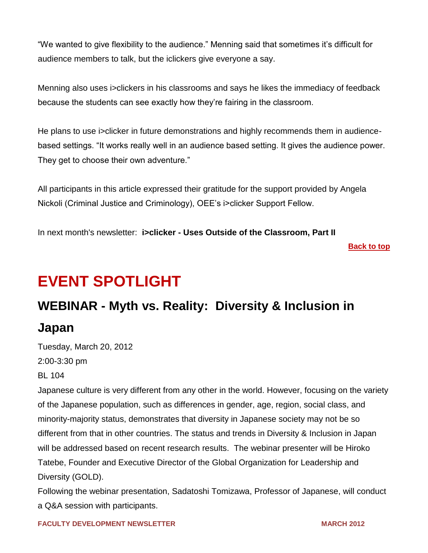―We wanted to give flexibility to the audience.‖ Menning said that sometimes it's difficult for audience members to talk, but the iclickers give everyone a say.

Menning also uses i>clickers in his classrooms and says he likes the immediacy of feedback because the students can see exactly how they're fairing in the classroom.

He plans to use i>clicker in future demonstrations and highly recommends them in audiencebased settings. "It works really well in an audience based setting. It gives the audience power. They get to choose their own adventure."

All participants in this article expressed their gratitude for the support provided by Angela Nickoli (Criminal Justice and Criminology), OEE's i>clicker Support Fellow.

In next month's newsletter: **i>clicker - Uses Outside of the Classroom, Part II**

**[Back to top](#page-0-0)**

## <span id="page-4-0"></span>**EVENT SPOTLIGHT**

### **WEBINAR - Myth vs. Reality: Diversity & Inclusion in Japan**

Tuesday, March 20, 2012 2:00-3:30 pm BL 104

Japanese culture is very different from any other in the world. However, focusing on the variety of the Japanese population, such as differences in gender, age, region, social class, and minority-majority status, demonstrates that diversity in Japanese society may not be so different from that in other countries. The status and trends in Diversity & Inclusion in Japan will be addressed based on recent research results. The webinar presenter will be Hiroko Tatebe, Founder and Executive Director of the Global Organization for Leadership and Diversity (GOLD).

Following the webinar presentation, Sadatoshi Tomizawa, Professor of Japanese, will conduct a Q&A session with participants.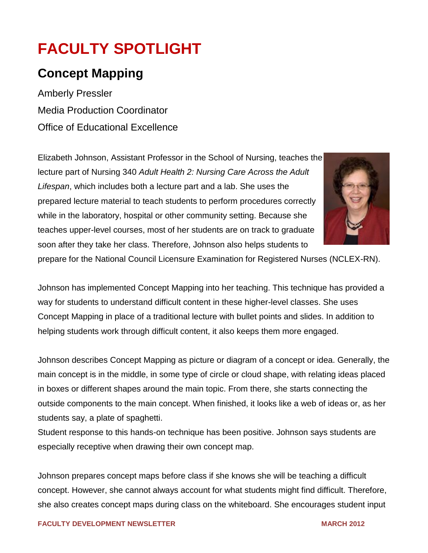## <span id="page-5-0"></span>**FACULTY SPOTLIGHT**

### **Concept Mapping**

Amberly Pressler Media Production Coordinator Office of Educational Excellence

Elizabeth Johnson, Assistant Professor in the School of Nursing, teaches the lecture part of Nursing 340 *Adult Health 2: Nursing Care Across the Adult Lifespan*, which includes both a lecture part and a lab. She uses the prepared lecture material to teach students to perform procedures correctly while in the laboratory, hospital or other community setting. Because she teaches upper-level courses, most of her students are on track to graduate soon after they take her class. Therefore, Johnson also helps students to



prepare for the National Council Licensure Examination for Registered Nurses (NCLEX-RN).

Johnson has implemented Concept Mapping into her teaching. This technique has provided a way for students to understand difficult content in these higher-level classes. She uses Concept Mapping in place of a traditional lecture with bullet points and slides. In addition to helping students work through difficult content, it also keeps them more engaged.

Johnson describes Concept Mapping as picture or diagram of a concept or idea. Generally, the main concept is in the middle, in some type of circle or cloud shape, with relating ideas placed in boxes or different shapes around the main topic. From there, she starts connecting the outside components to the main concept. When finished, it looks like a web of ideas or, as her students say, a plate of spaghetti.

Student response to this hands-on technique has been positive. Johnson says students are especially receptive when drawing their own concept map.

Johnson prepares concept maps before class if she knows she will be teaching a difficult concept. However, she cannot always account for what students might find difficult. Therefore, she also creates concept maps during class on the whiteboard. She encourages student input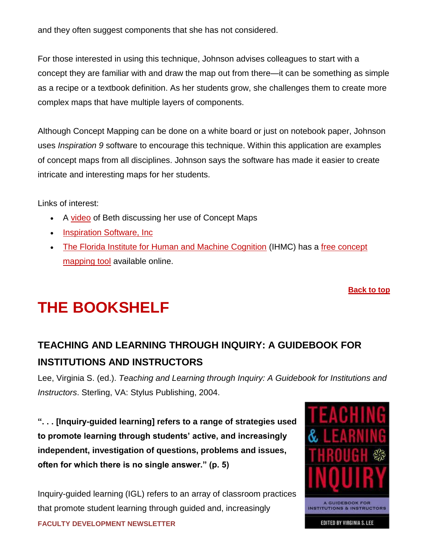and they often suggest components that she has not considered.

For those interested in using this technique, Johnson advises colleagues to start with a concept they are familiar with and draw the map out from there—it can be something as simple as a recipe or a textbook definition. As her students grow, she challenges them to create more complex maps that have multiple layers of components.

Although Concept Mapping can be done on a white board or just on notebook paper, Johnson uses *Inspiration 9* software to encourage this technique. Within this application are examples of concept maps from all disciplines. Johnson says the software has made it easier to create intricate and interesting maps for her students.

Links of interest:

- A [video](http://mediasite.bsu.edu/bsu40/Viewer/?peid=01fa6a5a3a6c4e65b9be4434a5019cc21d) of Beth discussing her use of Concept Maps
- [Inspiration Software, Inc](http://www.inspiration.com/)
- [The Florida Institute for Human and Machine Cognition](http://www.ihmc.us/) (IHMC) has a [free concept](http://cmap.ihmc.us/)  [mapping tool](http://cmap.ihmc.us/) available online.

<span id="page-6-0"></span>**[Back to top](#page-0-0)**

## **THE BOOKSHELF**

### **TEACHING AND LEARNING THROUGH INQUIRY: A GUIDEBOOK FOR INSTITUTIONS AND INSTRUCTORS**

Lee, Virginia S. (ed.). *Teaching and Learning through Inquiry: A Guidebook for Institutions and Instructors*. Sterling, VA: Stylus Publishing, 2004.

**―. . . [Inquiry-guided learning] refers to a range of strategies used to promote learning through students' active, and increasingly independent, investigation of questions, problems and issues, often for which there is no single answer.‖ (p. 5)**

**FACULTY DEVELOPMENT NEWSLETTER MARCH 2012 12 2012 12 2012 2013 2012 2012** Inquiry-guided learning (IGL) refers to an array of classroom practices that promote student learning through guided and, increasingly

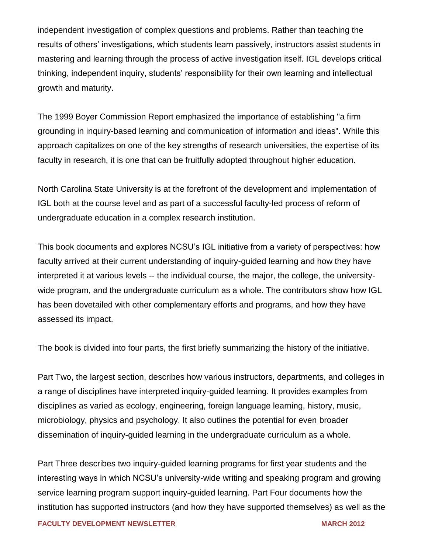independent investigation of complex questions and problems. Rather than teaching the results of others' investigations, which students learn passively, instructors assist students in mastering and learning through the process of active investigation itself. IGL develops critical thinking, independent inquiry, students' responsibility for their own learning and intellectual growth and maturity.

The 1999 Boyer Commission Report emphasized the importance of establishing "a firm grounding in inquiry-based learning and communication of information and ideas". While this approach capitalizes on one of the key strengths of research universities, the expertise of its faculty in research, it is one that can be fruitfully adopted throughout higher education.

North Carolina State University is at the forefront of the development and implementation of IGL both at the course level and as part of a successful faculty-led process of reform of undergraduate education in a complex research institution.

This book documents and explores NCSU's IGL initiative from a variety of perspectives: how faculty arrived at their current understanding of inquiry-guided learning and how they have interpreted it at various levels -- the individual course, the major, the college, the universitywide program, and the undergraduate curriculum as a whole. The contributors show how IGL has been dovetailed with other complementary efforts and programs, and how they have assessed its impact.

The book is divided into four parts, the first briefly summarizing the history of the initiative.

Part Two, the largest section, describes how various instructors, departments, and colleges in a range of disciplines have interpreted inquiry-guided learning. It provides examples from disciplines as varied as ecology, engineering, foreign language learning, history, music, microbiology, physics and psychology. It also outlines the potential for even broader dissemination of inquiry-guided learning in the undergraduate curriculum as a whole.

Part Three describes two inquiry-guided learning programs for first year students and the interesting ways in which NCSU's university-wide writing and speaking program and growing service learning program support inquiry-guided learning. Part Four documents how the institution has supported instructors (and how they have supported themselves) as well as the